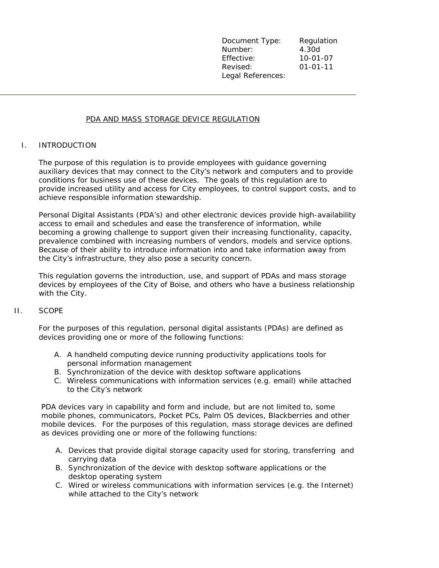Document Type: Regulation Number: 4.30d Effective: 10-01-07 Revised: 01-01-11 Legal References:

# PDA AND MASS STORAGE DEVICE REGULATION

## I. INTRODUCTION

The purpose of this regulation is to provide employees with guidance governing auxiliary devices that may connect to the City's network and computers and to provide conditions for business use of these devices. The goals of this regulation are to provide increased utility and access for City employees, to control support costs, and to achieve responsible information stewardship.

Personal Digital Assistants (PDA's) and other electronic devices provide high-availability access to email and schedules and ease the transference of information, while becoming a growing challenge to support given their increasing functionality, capacity, prevalence combined with increasing numbers of vendors, models and service options. Because of their ability to introduce information into and take information away from the City's infrastructure, they also pose a security concern.

This regulation governs the introduction, use, and support of PDAs and mass storage devices by employees of the City of Boise, and others who have a business relationship with the City.

### II. SCOPE

For the purposes of this regulation, personal digital assistants (PDAs) are defined as devices providing one or more of the following functions:

- A. A handheld computing device running productivity applications tools for personal information management
- B. Synchronization of the device with desktop software applications
- C. Wireless communications with information services (e.g. email) while attached to the City's network

PDA devices vary in capability and form and include, but are not limited to, some mobile phones, communicators, Pocket PCs, Palm OS devices, Blackberries and other mobile devices. For the purposes of this regulation, mass storage devices are defined as devices providing one or more of the following functions:

- A. Devices that provide digital storage capacity used for storing, transferring and carrying data
- B. Synchronization of the device with desktop software applications or the desktop operating system
- C. Wired or wireless communications with information services (e.g. the Internet) while attached to the City's network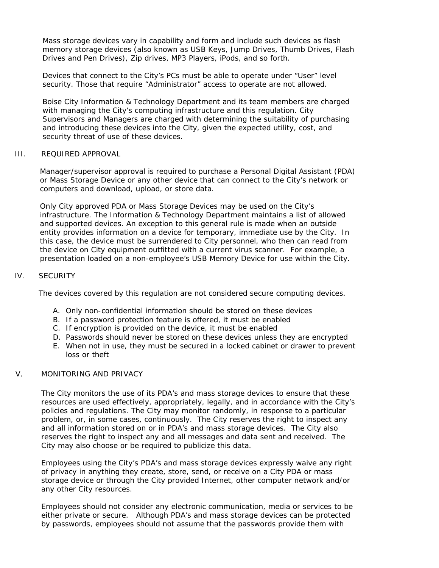Mass storage devices vary in capability and form and include such devices as flash memory storage devices (also known as USB Keys, Jump Drives, Thumb Drives, Flash Drives and Pen Drives), Zip drives, MP3 Players, iPods, and so forth.

Devices that connect to the City's PCs must be able to operate under "User" level security. Those that require "Administrator" access to operate are not allowed.

Boise City Information & Technology Department and its team members are charged with managing the City's computing infrastructure and this regulation. City Supervisors and Managers are charged with determining the suitability of purchasing and introducing these devices into the City, given the expected utility, cost, and security threat of use of these devices.

# III. REQUIRED APPROVAL

Manager/supervisor approval is required to purchase a Personal Digital Assistant (PDA) or Mass Storage Device or any other device that can connect to the City's network or computers and download, upload, or store data.

Only City approved PDA or Mass Storage Devices may be used on the City's infrastructure. The Information & Technology Department maintains a list of allowed and supported devices. An exception to this general rule is made when an outside entity provides information on a device for temporary, immediate use by the City. In this case, the device must be surrendered to City personnel, who then can read from the device on City equipment outfitted with a current virus scanner. For example, a presentation loaded on a non-employee's USB Memory Device for use within the City.

## IV. SECURITY

The devices covered by this regulation are not considered secure computing devices.

- A. Only non-confidential information should be stored on these devices
- B. If a password protection feature is offered, it must be enabled
- C. If encryption is provided on the device, it must be enabled
- D. Passwords should never be stored on these devices unless they are encrypted
- E. When not in use, they must be secured in a locked cabinet or drawer to prevent loss or theft

### V. MONITORING AND PRIVACY

The City monitors the use of its PDA's and mass storage devices to ensure that these resources are used effectively, appropriately, legally, and in accordance with the City's policies and regulations. The City may monitor randomly, in response to a particular problem, or, in some cases, continuously. The City reserves the right to inspect any and all information stored on or in PDA's and mass storage devices. The City also reserves the right to inspect any and all messages and data sent and received. The City may also choose or be required to publicize this data.

Employees using the City's PDA's and mass storage devices expressly waive any right of privacy in anything they create, store, send, or receive on a City PDA or mass storage device or through the City provided Internet, other computer network and/or any other City resources.

Employees should not consider any electronic communication, media or services to be either private or secure. Although PDA's and mass storage devices can be protected by passwords, employees should not assume that the passwords provide them with